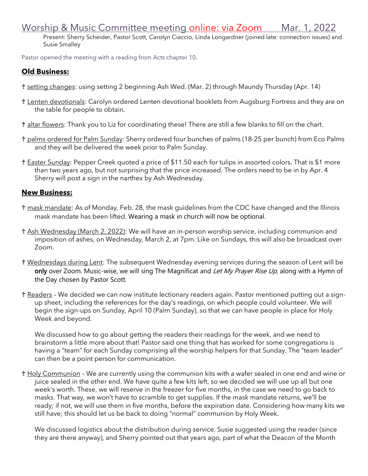## Worship & Music Committee meeting online: via Zoom Mar. 1, 2022

Present: Sherry Scheider, Pastor Scott, Carolyn Ciaccio, Linda Longardner (joined late: connection issues) and Susie Smalley

Pastor opened the meeting with a reading from Acts chapter 10.

## **Old Business:**

- ♰ setting changes: using setting 2 beginning Ash Wed. (Mar. 2) through Maundy Thursday (Apr. 14)
- ♰ Lenten devotionals: Carolyn ordered Lenten devotional booklets from Augsburg Fortress and they are on the table for people to obtain.
- ♰ altar flowers: Thank you to Liz for coordinating these! There are still a few blanks to fill on the chart.
- ♰ palms ordered for Palm Sunday: Sherry ordered four bunches of palms (18-25 per bunch) from Eco Palms and they will be delivered the week prior to Palm Sunday.
- ♰ Easter Sunday: Pepper Creek quoted a price of \$11.50 each for tulips in assorted colors. That is \$1 more than two years ago, but not surprising that the price increased. The orders need to be in by Apr. 4 Sherry will post a sign in the narthex by Ash Wednesday.

## **New Business:**

- ♰ mask mandate: As of Monday, Feb. 28, the mask guidelines from the CDC have changed and the Illinois mask mandate has been lifted. Wearing a mask in church will now be optional.
- t Ash Wednesday (March 2, 2022): We will have an in-person worship service, including communion and imposition of ashes, on Wednesday, March 2, at 7pm. Like on Sundays, this will also be broadcast over Zoom.
- ♰ Wednesdays during Lent: The subsequent Wednesday evening services during the season of Lent will be only over Zoom. Music-wise, we will sing The Magnificat and Let My Prayer Rise Up, along with a Hymn of the Day chosen by Pastor Scott.
- ♰ Readers We decided we can now institute lectionary readers again. Pastor mentioned putting out a signup sheet, including the references for the day's readings, on which people could volunteer. We will begin the sign-ups on Sunday, April 10 (Palm Sunday), so that we can have people in place for Holy Week and beyond.

We discussed how to go about getting the readers their readings for the week, and we need to brainstorm a little more about that! Pastor said one thing that has worked for some congregations is having a "team" for each Sunday comprising all the worship helpers for that Sunday. The "team leader" can then be a point person for communication.

♰ Holy Communion – We are currently using the communion kits with a wafer sealed in one end and wine or juice sealed in the other end. We have quite a few kits left, so we decided we will use up all but one week's worth. These, we will reserve in the freezer for five months, in the case we need to go back to masks. That way, we won't have to scramble to get supplies. If the mask mandate returns, we'll be ready; if not, we will use them in five months, before the expiration date. Considering how many kits we still have; this should let us be back to doing "normal" communion by Holy Week.

We discussed logistics about the distribution during service. Susie suggested using the reader (since they are there anyway), and Sherry pointed out that years ago, part of what the Deacon of the Month